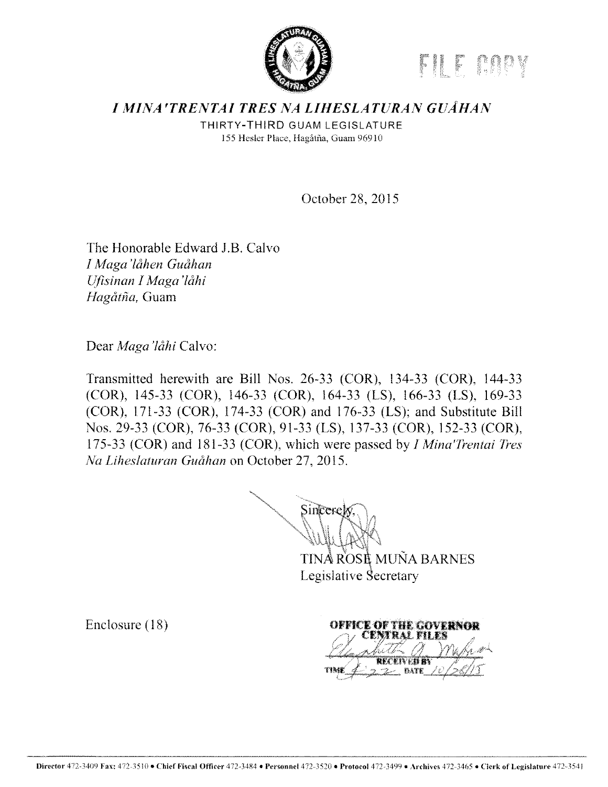

# **I MINA'TRENTAI TRES NA LIHESLATURAN GUÂHAN**

THIRTY-THIRD GUAM LEGISLATURE 155 Hesler Place. Hagati\a. Guam 96910

October 28. 2015

The Honorable Edward J.B. Calvo *I Maga 'lclhen Guclhan Ufisinan I Maga'låhi* Hagåtña, Guam

Dear *Maga'låhi* Calvo:

Transmitted herewith are Bill Nos. 26-33 (COR), 134-33 (COR), 144-33 (COR), 145-33 (COR), 146-33 (COR), 164-33 (LS), 166-33 (LS), 169-33 (COR), 171-33 (COR), 174-33 (COR) and 176-33 (LS); and Substitute Bill Nos. 29-33 (COR), 76-33 (COR), 91-33 (LS), 137-33 (COR), 152-33 (COR), 175-33 (COR) and 181-33 (COR), which were passed by *I Mina'Trentai Tres Na Liheslaturan Guåhan on October 27, 2015.* 

Sincerel

TINÅ ROSE MUÑA BARNES Legislative Secretary

Enclosure (18)

OFFICE OF THE COVERNOR RAL FILE **BATE**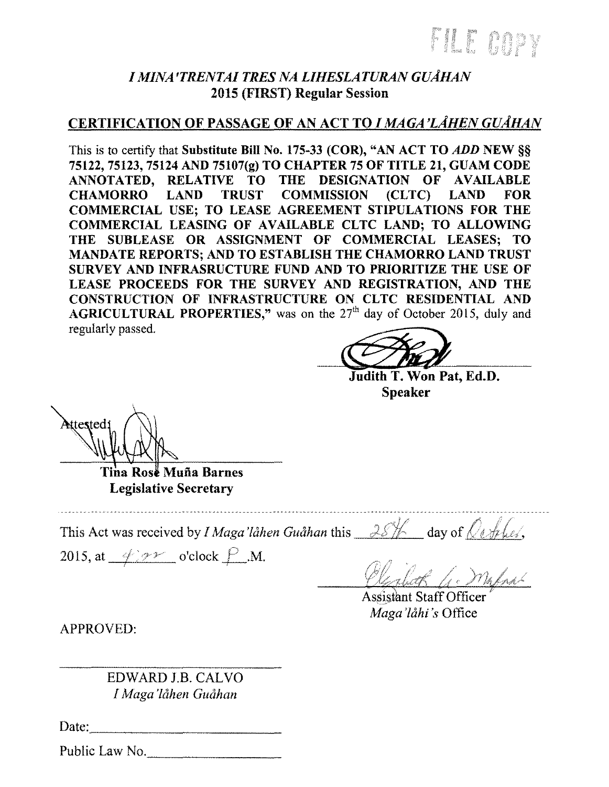## *I MINA 'TRENTAI TRES NA LIHESLATURAN GUAHA1V*  2015 (FIRST) Regular Session

# CERTIFICATION OF PASSAGE OF AN ACT TO *I MAGA 'LAHE1V GUAHAN*

This is to certify that Substitute Bill No. 175-33 (COR), "AN ACT TO *ADD* NEW§§ 75122, 75123, 75124 AND 75107(g) TO CHAPTER 75 OF TITLE 21, GUAM CODE ANNOTATED, RELATIVE TO THE DESIGNATION OF AVAILABLE<br>CHAMORRO LAND TRUST COMMISSION (CLTC) LAND FOR CHAMORRO LAND TRUST COMMISSION (CLTC) LAND FOR COMMERCIAL USE; TO LEASE AGREEMENT STIPULATIONS FOR THE COMMERCIAL LEASING OF AVAILABLE CLTC LAND; TO ALLOWING THE SUBLEASE OR ASSIGNMENT OF COMMERCIAL LEASES; TO MANDATE REPORTS; AND TO ESTABLISH THE CHAMORRO LAND TRUST SURVEY AND INFRASRUCTURE FUND AND TO PRIORITIZE THE USE OF LEASE PROCEEDS FOR THE SURVEY AND REGISTRATION, AND THE CONSTRUCTION OF INFRASTRUCTURE ON CLTC RESIDENTIAL AND AGRICULTURAL PROPERTIES," was on the  $27<sup>th</sup>$  day of October 2015, duly and regularly passed.

Judith T. Won Pat, Ed.D. Speaker

**Mtested**: Tina Rose Muña Barnes

Legislative Secretary

This Act was received by *I Maga'lahen Guahan* this  $\frac{28}{10}$  day of  $\sqrt{4\pi}$ kes,

2015, at  $\frac{\varphi}{\varphi}$  o'clock  $\frac{\rho}{\rho}$ .M.

Higheth G. Mapal

**Assistant Staff Officer** Maga'låhi's Office

APPROVED:

EDWARD J.B. CAL VO *I Maga'låhen Guåhan* 

Date: ~~~~~~~~~~~

Public Law No.  $\blacksquare$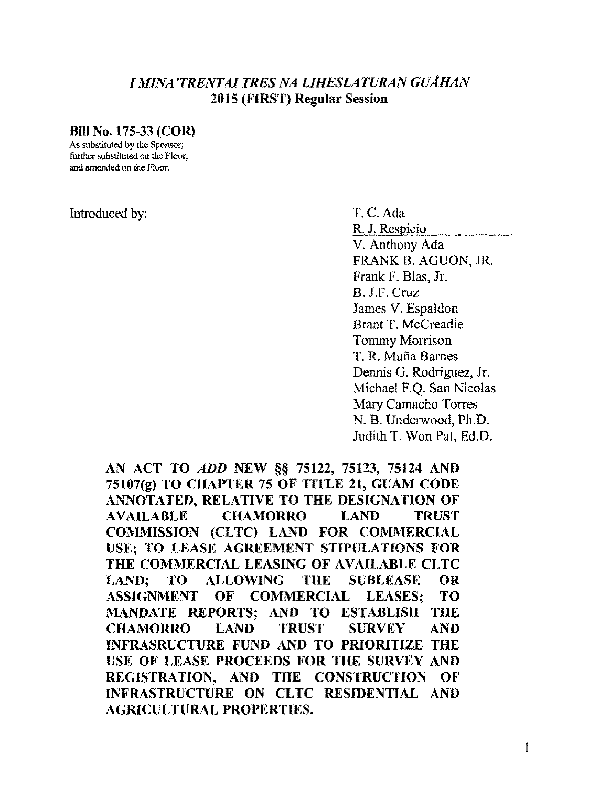### *I MINA 'TRENTAI TRES NA L/HESLATURA1V GUAHA1V*  2015 (FIRST) Regular Session

#### BillNo.175-33 (COR)

As substituted by the Sponsor; further substituted on the Floor; and amended on the Floor.

#### Introduced by: T.C.Ada

R. J. Respicio V. Anthony Ada FRANK B. AGUON, JR. Frank F. Blas, Jr. B. J.F. Cruz James V. Espaldon Brant T. Mccreadie Tommy Morrison T. R. Mufia Barnes Dennis G. Rodriguez, Jr. Michael F.Q. San Nicolas Mary Camacho Torres N. B. Underwood, Ph.D. Judith T. Won Pat, Ed.D.

AN ACT TO ADD NEW §§ 75122, 75123, 75124 AND  $75107(g)$  TO CHAPTER 75 OF TITLE 21, GUAM CODE ANNOTATED, RELATIVE TO THE DESIGNATION OF AVAILABLE CHAMORRO LAND TRUST COMMISSION (CLTC) LAND FOR COMMERCIAL USE; TO LEASE AGREEMENT STIPULATIONS FOR THE COMMERCIAL LEASING OF AVAILABLE CLTC LAND; TO ALLOWING THE SUBLEASE OR ASSIGNMENT OF COMMERCIAL LEASES: TO 1\-IANDATE REPORTS; AND TO ESTABLISH THE CHAMORRO LAND TRUST SURVEY AND INFRASRUCTURE FUND AND TO PRIORITIZE THE USE OF LEASE PROCEEDS FOR THE SURVEY AND REGISTRATION, AND THE CONSTRUCTION OF INFRASTRUCTURE ON CL TC RESIDENTIAL AND AGRICULTURAL PROPERTIES.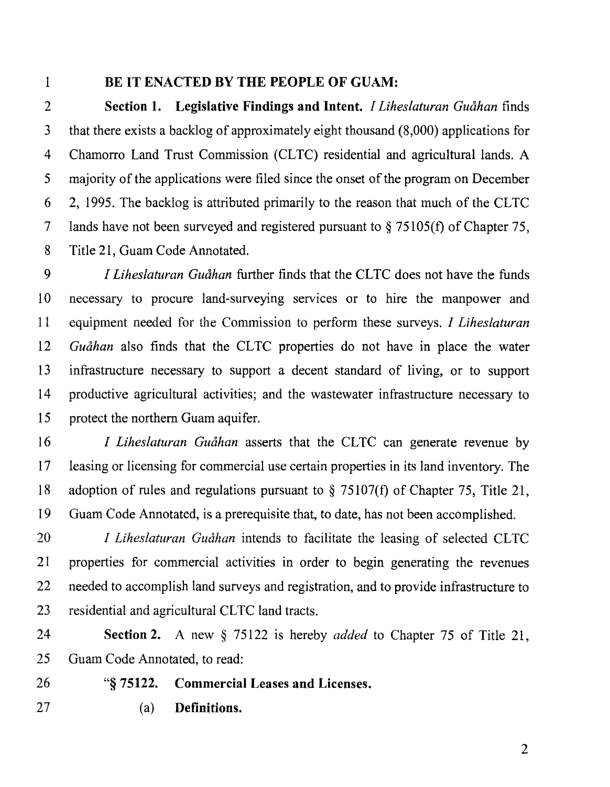### **1 BE IT ENACTED BY THE PEOPLE OF GUAM:**

2 **Section I. Legislative Findings and Intent.** *I Liheslaturan Guahan* finds 3 that there exists a backlog of approximately eight thousand (8,000) applications for 4 Chamorro Land Trust Commission (CLTC) residential and agricultural lands. A 5 majority of the applications were filed since the onset of the program on December 6 2, 1995. The backlog is attributed primarily to the reason that much of the CL TC 7 lands have not been surveyed and registered pursuant to§ 75105(t) of Chapter 75, 8 Title 21, Guam Code Annotated.

9 I *Liheslaturan Guahan* further finds that the CLTC does not have the funds 10 necessary to procure land-surveying services or to hire the manpower and 11 equipment needed for the Commission to perform these surveys. I *Liheslaturan*  12 *Guahan* also finds that the CLTC properties do not have in place the water 13 infrastructure necessary to support a decent standard of living, or to support 14 productive agricultural activities; and the wastewater infrastructure necessary to 15 protect the northern Guam aquifer.

16 *I Liheslaturan Guåhan* asserts that the CLTC can generate revenue by 17 leasing or licensing for commercial use certain properties in its land inventory. The 18 adoption of rules and regulations pursuant to§ 75107(t) of Chapter 75, Title 21, 19 Guam Code Annotated, is a prerequisite that, to date, has not been accomplished.

20 *I Liheslaturan Guåhan* intends to facilitate the leasing of selected CLTC 21 properties for commercial activities in order to begin generating the revenues 22 needed to accomplish land surveys and registration, and to provide infrastructure to 23 residential and agricultural CLTC land tracts.

24 **Section 2.** A new § 75122 is hereby *added* to Chapter 75 of Title 21, 25 Guam Code Annotated, to read:

26 "§ **75122. Commercial Leases and Licenses.** 

- 
- 27 (a) **Definitions.**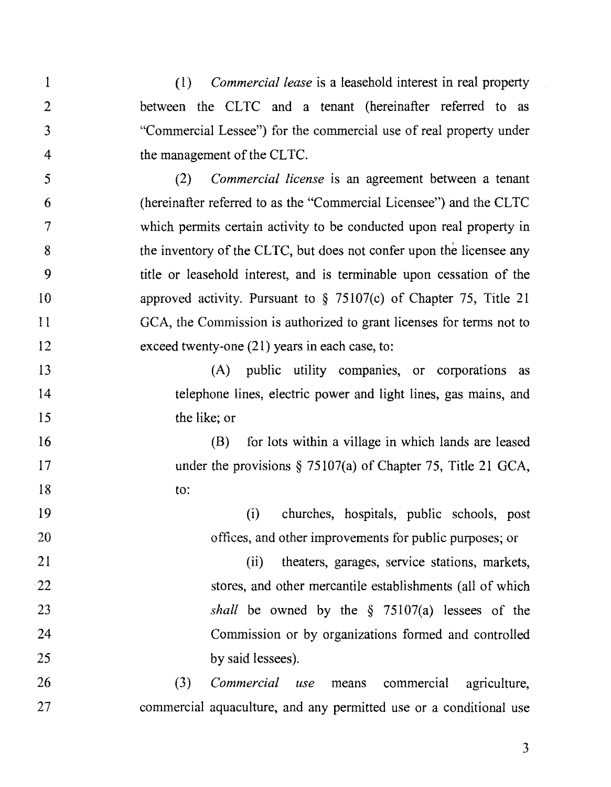1 2 3 4 (l) *Commercial lease* is a leasehold interest in real property between the CLTC and a tenant (hereinafter referred to as "Commercial Lessee") for the commercial use of real property under the management of the CLTC.

5 6 7 8 *9*  10 11 12 (2) *Commercial license* is an agreement between a tenant (hereinafter referred to as the "Commercial Licensee") and the CL TC which permits certain activity to be conducted upon real property in the inventory of the CLTC, but does not confer upon the licensee any title or leasehold interest, and is terminable upon cessation of the approved activity. Pursuant to  $\S$  75107(c) of Chapter 75, Title 21 GCA, the Commission is authorized to grant licenses for terms not to exceed twenty-one (21) years in each case, to:

13 14 15 (A) public utility companies, or corporations as telephone lines, electric power and light lines, gas mains, and the like; or

16

17

18

(B) for lots within a village in which lands are leased under the provisions § 75107(a) of Chapter 75, Title 21 GCA, to:

19 20 (i) churches, hospitals, public schools, post offices, and other improvements for public purposes; or

21 22 23 24 25 (ii) theaters, garages, service stations, markets, stores, and other mercantile establishments (all of which *shall* be owned by the § 75107(a) lessees of the Commission or by organizations formed and controlled by said lessees).

26 27 (3) *Commercial use* means commercial agriculture, commercial aquaculture, and any permitted use or a conditional use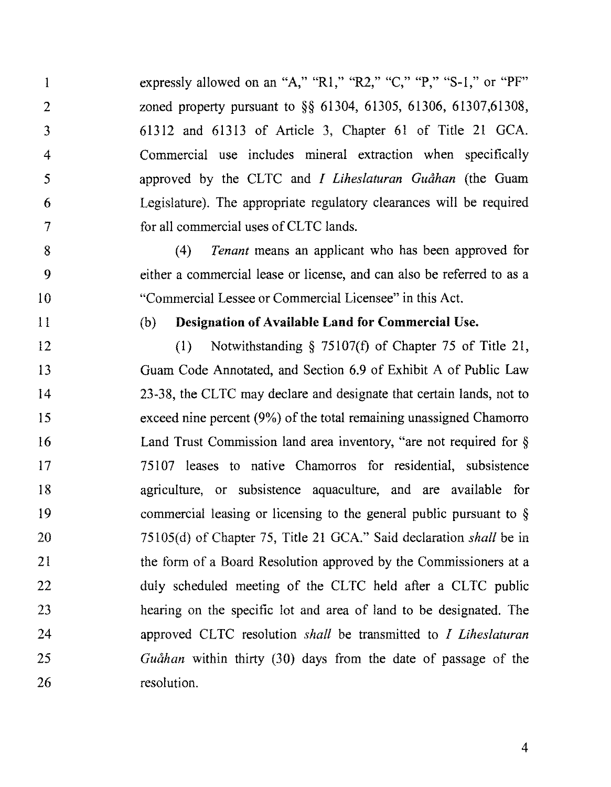expressly allowed on an "A," "R1," "R2," "C," "P," "S-1," or "PF" zoned property pursuant to §§ 61304, 61305, 61306, 61307,61308, 61312 and 61313 of Article 3, Chapter 61 of Title 21 GCA. Commercial use includes mineral extraction when specifically approved by the CLTC and *I Liheslaturan Guahan* (the Guam Legislature). The appropriate regulatory clearances will be required for all commercial uses of CLTC lands.

(4) *Tenant* means an applicant who has been approved for either a commercial lease or license, and can also be referred to as a "Commercial Lessee or Commercial Licensee" in this Act.

11

1

2

3

4

5

6

7

8

*9* 

10

#### (b) **Designation of Available Land for Commercial Use.**

12 13 14 15 16 17 18 19 20 21 22 23 24 25 26 (1) Notwithstanding§ 75107(f) of Chapter 75 of Title 21, Guam Code Annotated, and Section 6.9 of Exhibit A of Public Law 23-38, the CL TC may declare and designate that certain lands, not to exceed nine percent (9%) of the total remaining unassigned Chamorro Land Trust Commission land area inventory, "are not required for § 75107 leases to native Chamorros for residential, subsistence agriculture, or subsistence aquaculture, and are available for commercial leasing or licensing to the general public pursuant to § 75105( d) of Chapter 75, Title 21 GCA." Said declaration *shall* be in the form of a Board Resolution approved by the Commissioners at a duly scheduled meeting of the CLTC held after a CLTC public hearing on the specific lot and area of land to be designated. The approved CLTC resolution *shall* be transmitted to *I Liheslaturan Guahan* within thirty (30) days from the date of passage of the resolution.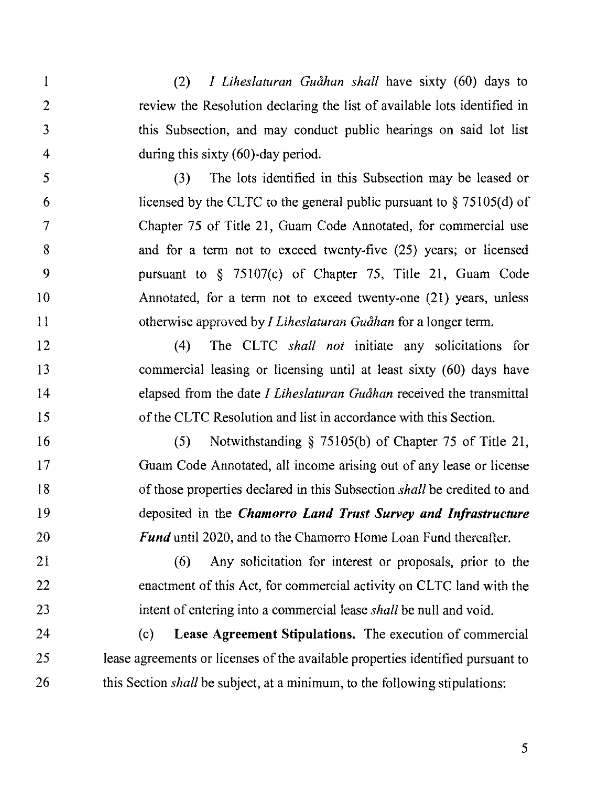1 (2) *I liheslaturan Guahan shall* have sixty (60) days to 2 review the Resolution declaring the list of available lots identified in 3 this Subsection, and may conduct public hearings on said lot list 4 during this sixty (60)-day period.

5 (3) The lots identified in this Subsection may be leased or 6 licensed by the CLTC to the general public pursuant to  $\S$  75105(d) of 7 Chapter 75 of Title 21, Guam Code Annotated, for commercial use 8 and for a term not to exceed twenty-five (25) years; or licensed 9 pursuant to § 75107(c) of Chapter 75, Title 21, Guam Code 10 Annotated, for a term not to exceed twenty-one (21) years, unless 11 otherwise approved by *I liheslaturan Guahan* for a longer term.

12 (4) The CLTC *shall not* initiate any solicitations for 13 commercial leasing or licensing until at least sixty (60) days have 14 elapsed from the date *I liheslaturan Guahan* received the transmittal 15 of the CL TC Resolution and list in accordance with this Section.

16 (5) Notwithstanding § 75105(b) of Chapter 75 of Title 21, 17 Guam Code Annotated, all income arising out of any lease or license 18 of those properties declared in this Subsection *shall* be credited to and 19 deposited in the *Chamorro Land Trust Survey and Infrastructure*  20 *Fund* until 2020, and to the Chamorro Home Loan Fund thereafter.

21 (6) Any solicitation for interest or proposals, prior to the 22 enactment of this Act, for commercial activity on CLTC land with the 23 intent of entering into a commercial lease *shall* be null and void.

24 (c) Lease Agreement Stipulations. The execution of commercial 25 lease agreements or licenses of the available properties identified pursuant to 26 this Section *shall* be subject, at a minimum, to the following stipulations: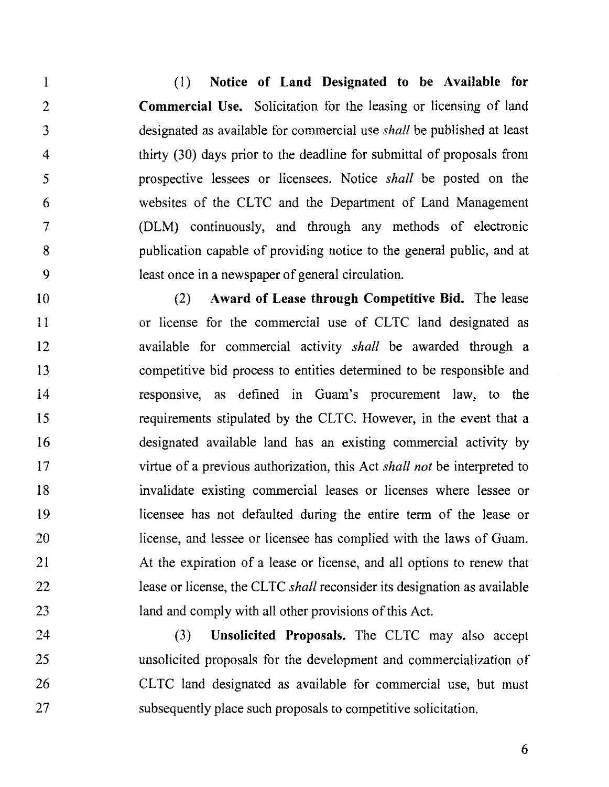(1) **Notice of Land Designated to be Available for Commercial Use.** Solicitation for the leasing or licensing of land designated as available for commercial use *shall* be published at least thirty (30) days prior to the deadline for submittal of proposals from prospective lessees or licensees. Notice *shall* be posted on the websites of the CLTC and the Department of Land Management (DLM) continuously, and through any methods of electronic publication capable of providing notice to the general public, and at least once in a newspaper of general circulation.

1

2

3

4

5

6

7

8

9

10 11 12 13 14 15 16 17 18 19 20 21 22 23 (2) **Award of Lease through Competitive Bid.** The lease or license for the commercial use of CLTC land designated as available for commercial activity *shall* be awarded through a competitive bid process to entities determined to be responsible and responsive, as defined in Guam's procurement law, to the requirements stipulated by the CLTC. However, in the event that a designated available land has an existing commercial activity by virtue of a previous authorization, this Act *shall not* be interpreted to invalidate existing commercial leases or licenses where lessee or licensee has not defaulted during the entire term of the lease or license, and lessee or licensee has complied with the laws of Guam. At the expiration of a lease or license, and all options to renew that lease or license, the CLTC *shall* reconsider its designation as available land and comply with all other provisions of this Act.

24 25 26 27 (3) **Unsolicited Proposals.** The CLTC may also accept unsolicited proposals for the development and commercialization of CLTC land designated as available for commercial use, but must subsequently place such proposals to competitive solicitation.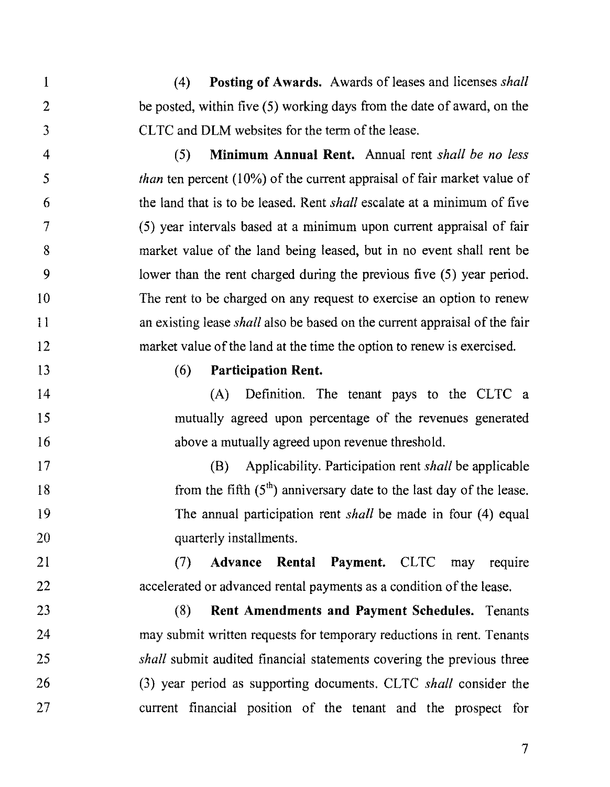( 4) **Posting of Awards.** Awards of leases and licenses *shall*  be posted, within five  $(5)$  working days from the date of award, on the CL TC and DLM websites for the term of the lease.

(5) **Minimum Annual Rent.** Annual rent *shall be no less than* ten percent (10%) of the current appraisal of fair market value of the land that is to be leased. Rent *shall* escalate at a minimum of five (5) year intervals based at a minimum upon current appraisal of fair market value of the land being leased, but in no event shall rent be lower than the rent charged during the previous five (5) year period. The rent to be charged on any request to exercise an option to renew an existing lease *shall* also be based on the current appraisal of the fair market value of the land at the time the option to renew is exercised.

13

1

2

3

4

5

6

7

8

9

IO

11

12

14

15

16

21

22

### (6) **Participation Rent.**

(A) Definition. The tenant pays to the CLTC a mutually agreed upon percentage of the revenues generated above a mutually agreed upon revenue threshold.

17 18 19 20 (B) Applicability. Participation rent *shall* be applicable from the fifth  $(5<sup>th</sup>)$  anniversary date to the last day of the lease. The annual participation rent *shall* be made in four (4) equal quarterly installments.

(7) **Advance Rental Payment.** CLTC may require accelerated or advanced rental payments as a condition of the lease.

23 24 25 26 27 (8) **Rent Amendments and Payment Schedules.** Tenants may submit written requests for temporary reductions in rent. Tenants *shall* submit audited financial statements covering the previous three (3) year period as supporting documents. CLTC *shall* consider the current financial position of the tenant and the prospect for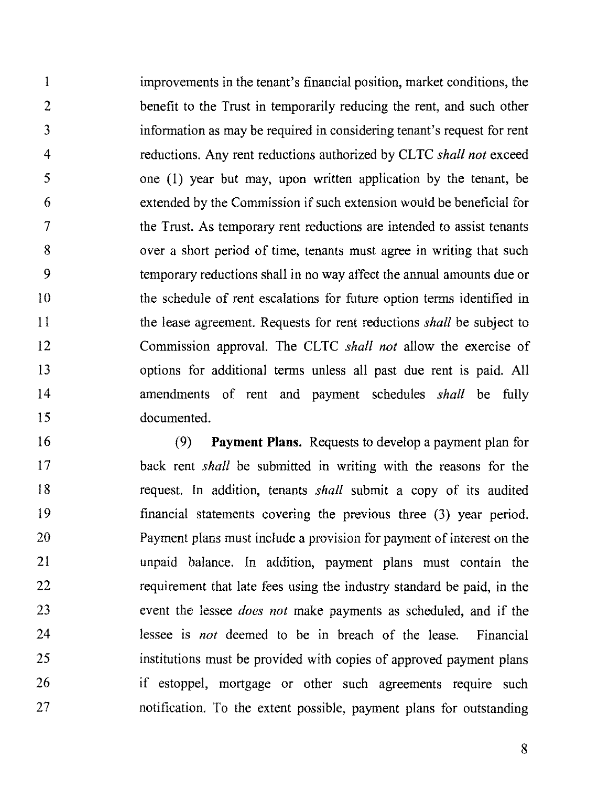1 2 3 4 5 6 7 8 *9*  10 11 12 13 14 15 improvements in the tenant's financial position, market conditions, the benefit to the Trust in temporarily reducing the rent, and such other information as may be required in considering tenant's request for rent reductions. Any rent reductions authorized by CL TC *shall not* exceed one  $(1)$  year but may, upon written application by the tenant, be extended by the Commission if such extension would be beneficial for the Trust. As temporary rent reductions are intended to assist tenants over a short period of time, tenants must agree in writing that such temporary reductions shall in no way affect the annual amounts due or the schedule of rent escalations for future option terms identified in the lease agreement. Requests for rent reductions *shall* be subject to Commission approval. The CL TC *shall not* allow the exercise of options for additional terms unless all past due rent is paid. All amendments of rent and payment schedules *shall* be fully documented.

16 17 18 19 20 21 22 23 24 25 26 27 (9) **Payment Plans.** Requests to develop a payment plan for back rent *shall* be submitted in writing with the reasons for the request. In addition, tenants *shall* submit a copy of its audited financial statements covering the previous three (3) year period. Payment plans must include a provision for payment of interest on the unpaid balance. In addition, payment plans must contain the requirement that late fees using the industry standard be paid, in the event the lessee *does not* make payments as scheduled, and if the lessee is *not* deemed to be in breach of the lease. Financial institutions must be provided with copies of approved payment plans if estoppel, mortgage or other such agreements require such notification. To the extent possible, payment plans for outstanding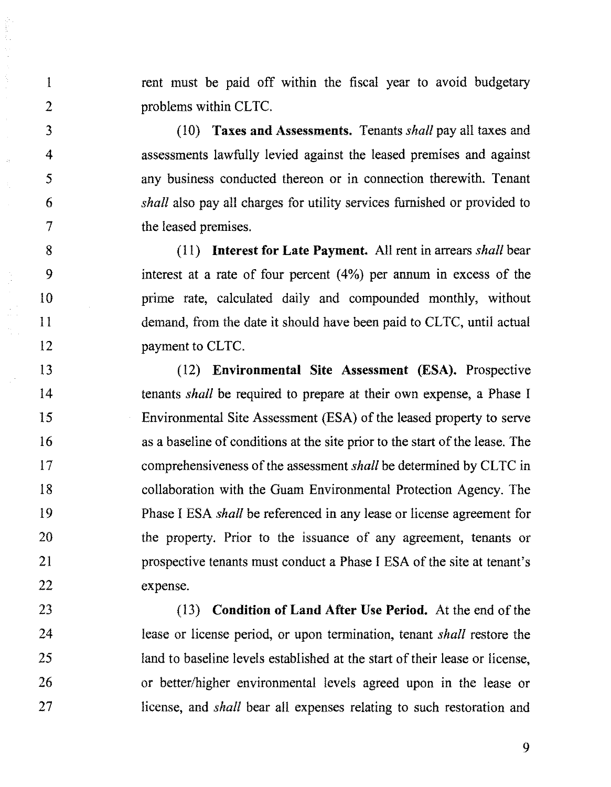rent must be paid off within the fiscal year to avoid budgetary problems within CLTC.

1

2

3

4

5

6

7

8

9

10

11

12

(10) **Taxes and Assessments.** Tenants *shall* pay all taxes and assessments lawfully levied against the leased premises and against any business conducted thereon or in connection therewith. Tenant *shall* also pay all charges for utility services furnished or provided to the leased premises.

( 11) **Interest for Late Payment.** All rent in arrears *shall* bear interest at a rate of four percent (4%) per annum in excess of the prime rate, calculated daily and compounded monthly, without demand, from the date it should have been paid to CLTC, until actual payment to CLTC.

13 14 15 16 17 18 19 20 21 22 (12) **Environmental Site Assessment (ESA).** Prospective tenants *shall* be required to prepare at their own expense, a Phase I Environmental Site Assessment (ESA) of the leased property to serve as a baseline of conditions at the site prior to the start of the lease. The comprehensiveness of the assessment *shall* be determined by CL TC in collaboration with the Guam Environmental Protection Agency. The Phase I ESA *shall* be referenced in any lease or license agreement for the property. Prior to the issuance of any agreement, tenants or prospective tenants must conduct a Phase I ESA of the site at tenant's expense.

23 24 25 26 27 (13) **Condition of Land After Use Period.** At the end of the lease or license period, or upon termination, tenant *shall* restore the land to baseline levels established at the start of their lease or license, or better/higher environmental levels agreed upon in the lease or license, and *shall* bear all expenses relating to such restoration and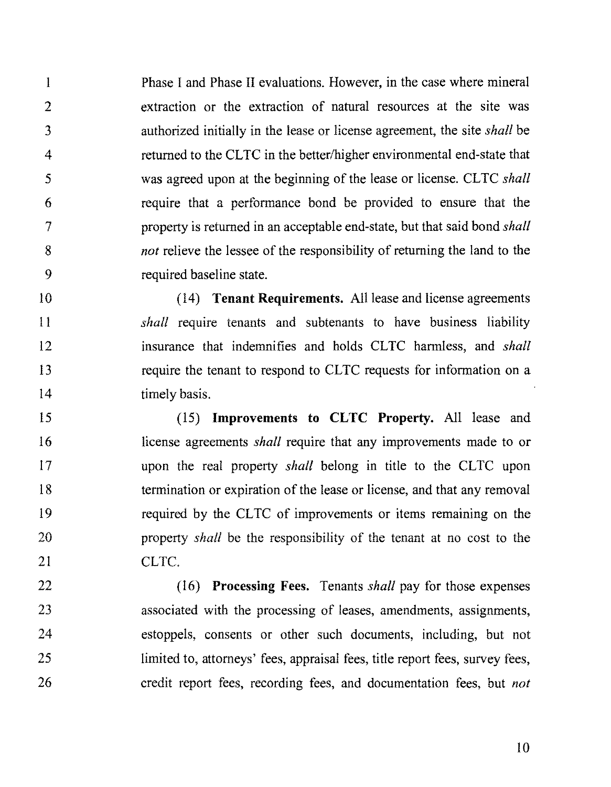l 2 3 4 5 6 7 8 9 Phase I and Phase II evaluations. However, in the case where mineral extraction or the extraction of natural resources at the site was authorized initially in the lease or license agreement, the site *shall* be returned to the CLTC in the better/higher environmental end-state that was agreed upon at the beginning of the lease or license. CLTC *shall* require that a performance bond be provided to ensure that the property is returned in an acceptable end-state, but that said bond *shall not* relieve the lessee of the responsibility of returning the land to the required baseline state.

10 11 12 13 14 (14) **Tenant Requirements.** All lease and license agreements *shall* require tenants and subtenants to have business liability insurance that indemnifies and holds CL TC harmless, and *shall*  require the tenant to respond to CLTC requests for information on a timely basis.

15 16 17 18 19 20 21 (15) **Improvements to CLTC Property.** All lease and license agreements *shall* require that any improvements made to or upon the real property *shall* belong in title to the CLTC upon termination or expiration of the lease or license, and that any removal required by the CLTC of improvements or items remaining on the property *shall* be the responsibility of the tenant at no cost to the CLTC.

22 23 24 25 26 (16) **Processing Fees.** Tenants *shall* pay for those expenses associated with the processing of leases, amendments, assignments, estoppels, consents or other such documents, including, but not limited to, attorneys' fees, appraisal fees, title report fees, survey fees, credit report fees, recording fees, and documentation fees, but *not*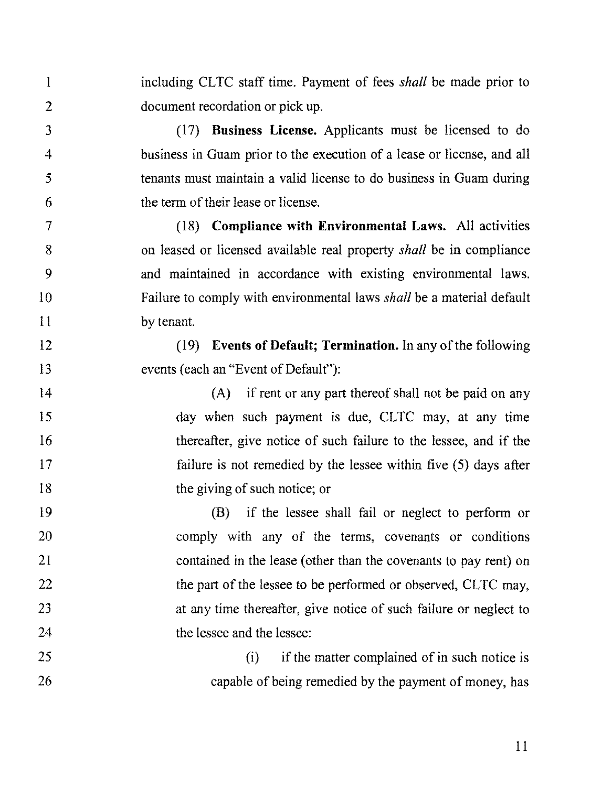including CLTC staff time. Payment of fees *shall* be made prior to document recordation or pick up.

I

2

3

4

5

6

7

8

9

10

11

12

13

(17) **Business License.** Applicants must be licensed to do business in Guam prior to the execution of a lease or license, and all tenants must maintain a valid license to do business in Guam during the term of their lease or license.

( 18) **Compliance with Environmental Laws.** All activities on leased or licensed available real property *shall* be in compliance and maintained in accordance with existing environmental laws. Failure to comply with environmental laws *shall* be a material default by tenant.

( 19) **Events of Default; Termination.** In any of the following events (each an "Event of Default"):

14 15 16 17 18 (A) if rent or any part thereof shall not be paid on any day when such payment is due, CLTC may, at any time thereafter, give notice of such failure to the lessee, and if the failure is not remedied by the lessee within five (5) days after the giving of such notice; or

19 20 21 22 23 24 (B) if the lessee shall fail or neglect to perform or comply with any of the terms, covenants or conditions contained in the lease (other than the covenants to pay rent) on the part of the lessee to be performed or observed, CLTC may, at any time thereafter, give notice of such failure or neglect to the lessee and the lessee:

25 26  $(i)$  if the matter complained of in such notice is capable of being remedied by the payment of money, has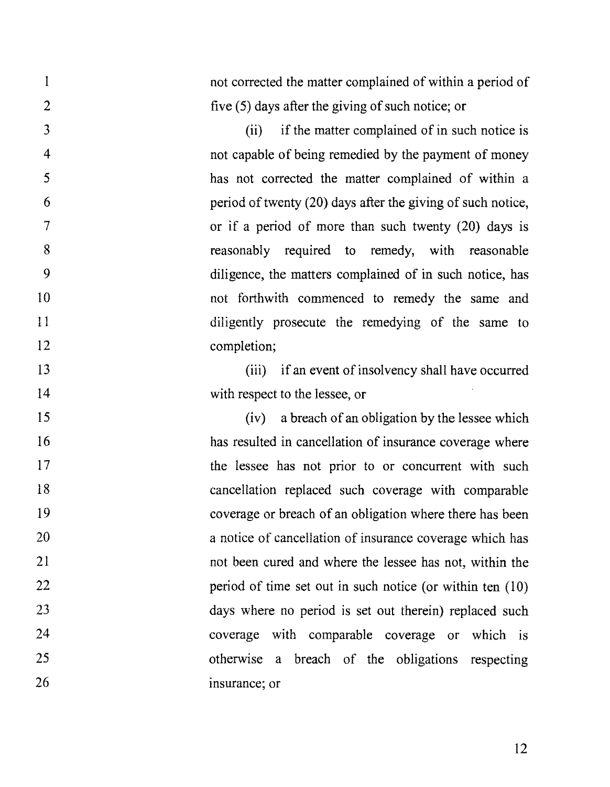l 2 3 4 5 6 7 8 9 10 11 12 13 14 15 16 17 18 19 20 21 22 23 24 25 26 not corrected the matter complained of within a period of five (5) days after the giving of such notice; or (ii) if the matter complained of in such notice is not capable of being remedied by the payment of money has not corrected the matter complained of within a period of twenty (20) days after the giving of such notice, or if a period of more than such twenty (20) days is reasonably required to remedy, with reasonable diligence, the matters complained of in such notice, has not forthwith commenced to remedy the same and diligently prosecute the remedying of the same to completion; (iii) if an event of insolvency shall have occurred with respect to the lessee, or (iv) a breach of an obligation by the lessee which has resulted in cancellation of insurance coverage where the lessee has not prior to or concurrent with such cancellation replaced such coverage with comparable coverage or breach of an obligation where there has been a notice of cancellation of insurance coverage which has not been cured and where the lessee has not, within the period of time set out in such notice (or within ten  $(10)$ ) days where no period is set out therein) replaced such coverage with comparable coverage or which is otherwise a breach of the obligations respecting insurance; or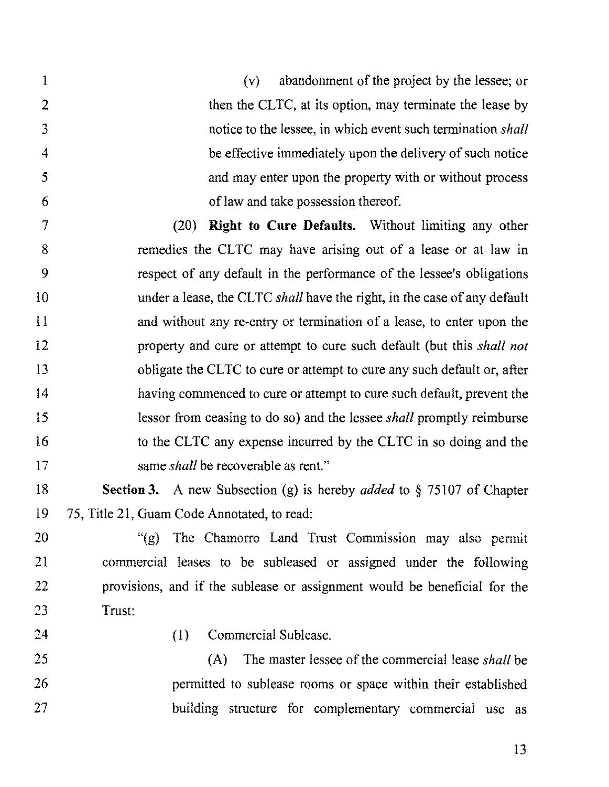1 (v) abandonment of the project by the lessee; or 2 then the CLTC, at its option, may terminate the lease by 3 notice to the lessee, in which event such termination *shall*  4 be effective immediately upon the delivery of such notice 5 and may enter upon the property with or without process 6 of law and take possession thereof.

7 (20) **Right to Cure Defaults.** Without limiting any other 8 remedies the CLTC may have arising out of a lease or at law in 9 respect of any default in the performance of the lessee's obligations 10 under a lease, the CLTC *shall* have the right, in the case of any default 11 and without any re-entry or termination of a lease, to enter upon the 12 property and cure or attempt to cure such default (but this *shall not*  13 obligate the CLTC to cure or attempt to cure any such default or, after 14 having commenced to cure or attempt to cure such default, prevent the 15 lessor from ceasing to do so) and the lessee *shall* promptly reimburse 16 to the CLTC any expense incurred by the CLTC in so doing and the 17 same *shall* be recoverable as rent."

18 **Section 3.** A new Subsection (g) is hereby *added* to § 75107 of Chapter 19 75, Title 21, Guam Code Annotated, to read:

20 "(g) The Chamorro Land Trust Commission may also permit 21 commercial leases to be subleased or assigned under the following 22 provisions, and if the sublease or assignment would be beneficial for the 23 Trust:

24

(I) Commercial Sublease.

25 26 27 (A) The master lessee of the commercial lease *shall* be permitted to sublease rooms or space within their established building structure for complementary commercial use as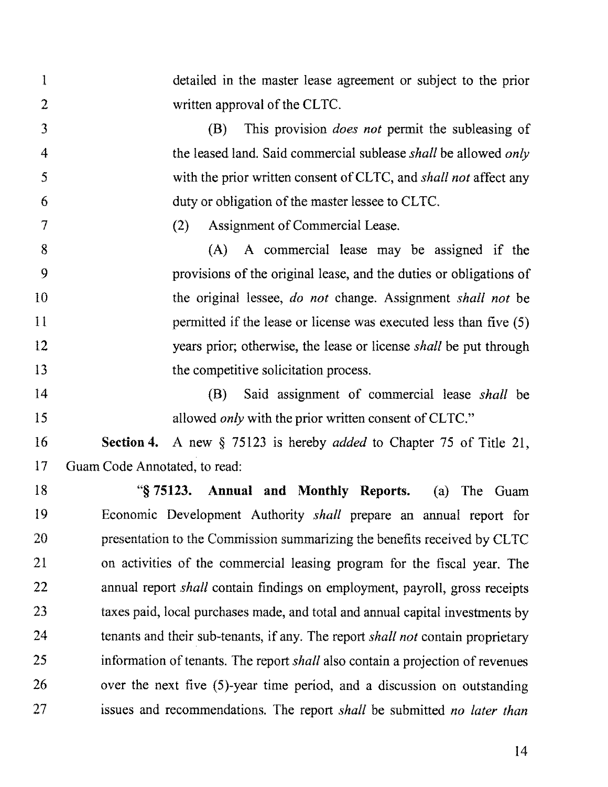1 detailed in the master lease agreement or subject to the prior 2 written approval of the CLTC. 3 (B) This provision *does not* permit the subleasing of 4 the leased land. Said commercial sublease *shall* be allowed *only 5* with the prior written consent of CL TC, and *shall not* affect any 6 duty or obligation of the master lessee to CLTC. 7 (2) Assignment of Commercial Lease. 8 (A) A commercial lease may be assigned if the 9 provisions of the original lease, and the duties or obligations of 10 the original lessee, *do not* change. Assignment *shall not* be 11 **permitted if the lease or license was executed less than five (5)** 12 years prior; otherwise, the lease or license *shall* be put through 13 the competitive solicitation process. 14 (B) Said assignment of commercial lease *shall* be 15 allowed *only* with the prior written consent of CLTC." 16 **Section4.** A new§ 75123 is hereby *added* to Chapter 75 of Title 21, 17 Guam Code Annotated, to read: 18 "§ **75123. Annual and Monthly Reports.** (a) The Guam 19 Economic Development Authority *shall* prepare an annual report for 20 presentation to the Commission summarizing the benefits received by CLTC 21 on activities of the commercial leasing program for the fiscal year. The 22 annual report *shall* contain findings on employment, payroll, gross receipts 23 taxes paid, local purchases made, and total and annual capital investments by 24 tenants and their sub-tenants, if any. The report *shall not* contain proprietary 25 information of tenants. The report *shall* also contain a projection of revenues 26 over the next five (5)-year time period, and a discussion on outstanding 27 issues and recommendations. The report *shall* be submitted *no later than*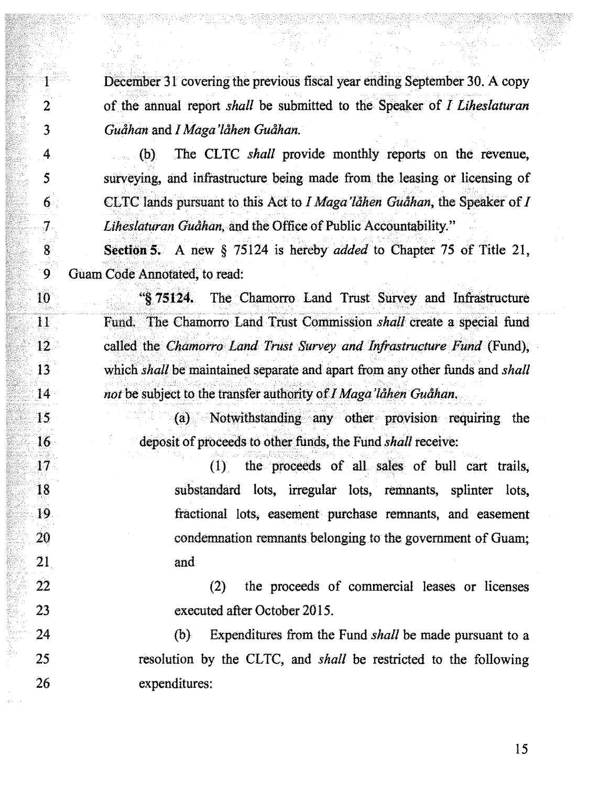1 December 31 covering the previous fiscal year ending September 30. A copy 2 of the annual report *shall* be submitted to the Speaker of *I Liheslaturan*  3 **Guåhan and I Maga 'låhen Guåhan.** 

4 (b) The CLTC *shall* provide monthly reports on the revenue, 5 surveying, and infrastructure being made from the leasing or licensing of 6 **CLTC** lands pursuant to this Act to *I Maga'lahen Guahan*, the Speaker of *I* 7 *Liheslaturan Guåhan*, and the Office of Public Accountability."

8 **Section S.** A new § 75124 is hereby *added* to Chapter 75 of Title 21, 9 Guam Code Annotated, to read:

10 "§ **75124.** The Chamorro Land Trust Survey and Infrastructure 11 Fund. The Chamorro Land Trust Commission *shall* create a special fund 12 called the *Chamorro Land Trust Survey and Infrastructure Fund* (Fund), 13 which *shall* be maintained separate and apart from any other funds and *shall*  14 *not* be subject to the transfer authority of *I Maga 'låhen Guåhan*.

15 (a) Notwithstanding any other provision requiring the 16 deposit of proceeds to other funds, the Fund *shall* receive:

17 (1) the proceeds of all sales of bull cart trails, 18 substandard lots, irregular lots, remnants, splinter lots, 19 fractional lots, easement purchase remnants, and easement 20 condemnation remnants belonging to the government of Guam; 21 and

22 (2) the proceeds of commercial leases or licenses 23 executed after October 2015.

24 (b) Expenditures from the Fund *shall* be made pursuant to a 25 resolution by the CLTC, and *shall* be restricted to the following 26 expenditures: